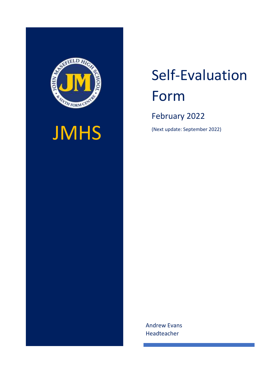

# **JMHS**

# Self-Evaluation Form

February 2022

(Next update: September 2022)

Andrew Evans Headteacher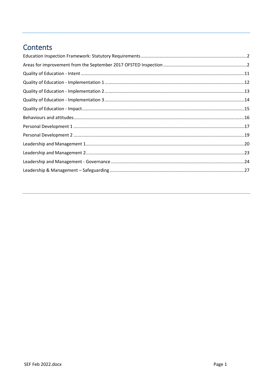# Contents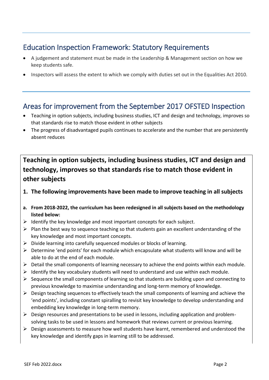# <span id="page-2-0"></span>Education Inspection Framework: Statutory Requirements

- A judgement and statement must be made in the Leadership & Management section on how we keep students safe.
- Inspectors will assess the extent to which we comply with duties set out in the Equalities Act 2010.

# <span id="page-2-1"></span>Areas for improvement from the September 2017 OFSTED Inspection

- Teaching in option subjects, including business studies, ICT and design and technology, improves so that standards rise to match those evident in other subjects
- The progress of disadvantaged pupils continues to accelerate and the number that are persistently absent reduces

# **Teaching in option subjects, including business studies, ICT and design and technology, improves so that standards rise to match those evident in other subjects**

- **1. The following improvements have been made to improve teaching in all subjects**
- **a. From 2018-2022, the curriculum has been redesigned in all subjects based on the methodology listed below:**
- ➢ Identify the key knowledge and most important concepts for each subject.
- ➢ Plan the best way to sequence teaching so that students gain an excellent understanding of the key knowledge and most important concepts.
- ➢ Divide learning into carefully sequenced modules or blocks of learning.
- ➢ Determine 'end points' for each module which encapsulate what students will know and will be able to do at the end of each module.
- ➢ Detail the small components of learning necessary to achieve the end points within each module.
- $\triangleright$  Identify the key vocabulary students will need to understand and use within each module.
- $\triangleright$  Sequence the small components of learning so that students are building upon and connecting to previous knowledge to maximise understanding and long-term memory of knowledge.
- ➢ Design teaching sequences to effectively teach the small components of learning and achieve the 'end points', including constant spiralling to revisit key knowledge to develop understanding and embedding key knowledge in long-term memory.
- ➢ Design resources and presentations to be used in lessons, including application and problemsolving tasks to be used in lessons and homework that reviews current or previous learning.
- $\triangleright$  Design assessments to measure how well students have learnt, remembered and understood the key knowledge and identify gaps in learning still to be addressed.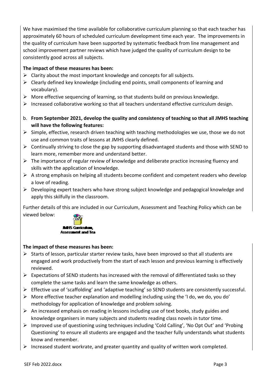We have maximised the time available for collaborative curriculum planning so that each teacher has approximately 60 hours of scheduled curriculum development time each year. The improvements in the quality of curriculum have been supported by systematic feedback from line management and school improvement partner reviews which have judged the quality of curriculum design to be consistently good across all subjects.

#### **The impact of these measures has been:**

- $\triangleright$  Clarity about the most important knowledge and concepts for all subjects.
- ➢ Clearly defined key knowledge (including end points, small components of learning and vocabulary).
- ➢ More effective sequencing of learning, so that students build on previous knowledge.
- $\triangleright$  Increased collaborative working so that all teachers understand effective curriculum design.
- b. **From September 2021, develop the quality and consistency of teaching so that all JMHS teaching will have the following features:**
- $\triangleright$  Simple, effective, research driven teaching with teaching methodologies we use, those we do not use and common traits of lessons at JMHS clearly defined.
- ➢ Continually striving to close the gap by supporting disadvantaged students and those with SEND to learn more, remember more and understand better.
- $\triangleright$  The importance of regular review of knowledge and deliberate practice increasing fluency and skills with the application of knowledge.
- $\triangleright$  A strong emphasis on helping all students become confident and competent readers who develop a love of reading.
- $\triangleright$  Developing expert teachers who have strong subject knowledge and pedagogical knowledge and apply this skilfully in the classroom.

Further details of this are included in our Curriculum, Assessment and Teaching Policy which can be viewed below:



## **The impact of these measures has been:**

- $\triangleright$  Starts of lesson, particular starter review tasks, have been improved so that all students are engaged and work productively from the start of each lesson and previous learning is effectively reviewed.
- $\triangleright$  Expectations of SEND students has increased with the removal of differentiated tasks so they complete the same tasks and learn the same knowledge as others.
- $\triangleright$  Effective use of 'scaffolding' and 'adaptive teaching' so SEND students are consistently successful.
- ➢ More effective teacher explanation and modelling including using the 'I do, we do, you do' methodology for application of knowledge and problem solving.
- $\triangleright$  An increased emphasis on reading in lessons including use of text books, study guides and knowledge organisers in many subjects and students reading class novels in tutor time.
- $\triangleright$  Improved use of questioning using techniques including 'Cold Calling', 'No Opt Out' and 'Probing Questioning' to ensure all students are engaged and the teacher fully understands what students know and remember.
- $\triangleright$  Increased student workrate, and greater quantity and quality of written work completed.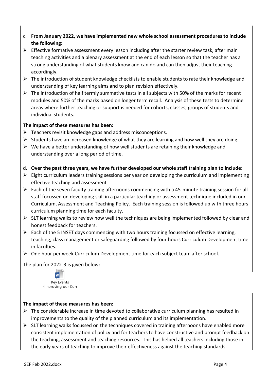- c. **From January 2022, we have implemented new whole school assessment procedures to include the following:**
- $\triangleright$  Effective formative assessment every lesson including after the starter review task, after main teaching activities and a plenary assessment at the end of each lesson so that the teacher has a strong understanding of what students know and can do and can then adjust their teaching accordingly.
- ➢ The introduction of student knowledge checklists to enable students to rate their knowledge and understanding of key learning aims and to plan revision effectively.
- $\triangleright$  The introduction of half termly summative tests in all subjects with 50% of the marks for recent modules and 50% of the marks based on longer term recall. Analysis of these tests to determine areas where further teaching or support is needed for cohorts, classes, groups of students and individual students.

#### **The impact of these measures has been:**

- $\triangleright$  Teachers revisit knowledge gaps and address misconceptions.
- $\triangleright$  Students have an increased knowledge of what they are learning and how well they are doing.
- $\triangleright$  We have a better understanding of how well students are retaining their knowledge and understanding over a long period of time.
- d. **Over the past three years, we have further developed our whole staff training plan to include:**
- $\triangleright$  Eight curriculum leaders training sessions per year on developing the curriculum and implementing effective teaching and assessment
- $\triangleright$  Each of the seven faculty training afternoons commencing with a 45-minute training session for all staff focussed on developing skill in a particular teaching or assessment technique included in our Curriculum, Assessment and Teaching Policy. Each training session is followed up with three hours curriculum planning time for each faculty.
- $\triangleright$  SLT learning walks to review how well the techniques are being implemented followed by clear and honest feedback for teachers.
- $\triangleright$  Each of the 5 INSET days commencing with two hours training focussed on effective learning, teaching, class management or safeguarding followed by four hours Curriculum Development time in faculties.
- ➢ One hour per week Curriculum Development time for each subject team after school.

The plan for 2022-3 is given below:



## **The impact of these measures has been:**

- $\triangleright$  The considerable increase in time devoted to collaborative curriculum planning has resulted in improvements to the quality of the planned curriculum and its implementation.
- $\triangleright$  SLT learning walks focussed on the techniques covered in training afternoons have enabled more consistent implementation of policy and for teachers to have constructive and prompt feedback on the teaching, assessment and teaching resources. This has helped all teachers including those in the early years of teaching to improve their effectiveness against the teaching standards.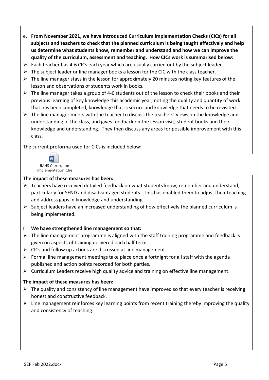- e. **From November 2021, we have introduced Curriculum Implementation Checks (CICs) for all subjects and teachers to check that the planned curriculum is being taught effectively and help us determine what students know, remember and understand and how we can improve the quality of the curriculum, assessment and teaching. How CICs work is summarised below:**
- $\triangleright$  Each teacher has 4-6 CICs each year which are usually carried out by the subject leader.
- $\triangleright$  The subject leader or line manager books a lesson for the CIC with the class teacher.
- $\triangleright$  The line manager stays in the lesson for approximately 20 minutes noting key features of the lesson and observations of students work in books.
- $\triangleright$  The line manager takes a group of 4-6 students out of the lesson to check their books and their previous learning of key knowledge this academic year, noting the quality and quantity of work that has been completed, knowledge that is secure and knowledge that needs to be revisited .
- $\triangleright$  The line manager meets with the teacher to discuss the teachers' views on the knowledge and understanding of the class, and gives feedback on the lesson visit, student books and their knowledge and understanding. They then discuss any areas for possible improvement with this class.

The current proforma used for CICs is included below:



#### **The impact of these measures has been:**

- ➢ Teachers have received detailed feedback on what students know, remember and understand, particularly for SEND and disadvantaged students. This has enabled them to adjust their teaching and address gaps in knowledge and understanding.
- $\triangleright$  Subject leaders have an increased understanding of how effectively the planned curriculum is being implemented.

#### f. **We have strengthened line management so that:**

- $\triangleright$  The line management programme is aligned with the staff training programme and feedback is given on aspects of training delivered each half term.
- $\triangleright$  CICs and follow up actions are discussed at line management.
- $\triangleright$  Formal line management meetings take place once a fortnight for all staff with the agenda published and action points recorded for both parties.
- $\triangleright$  Curriculum Leaders receive high quality advice and training on effective line management.

#### **The impact of these measures has been:**

- $\triangleright$  The quality and consistency of line management have improved so that every teacher is receiving honest and constructive feedback.
- $\triangleright$  Line management reinforces key learning points from recent training thereby improving the quality and consistency of teaching.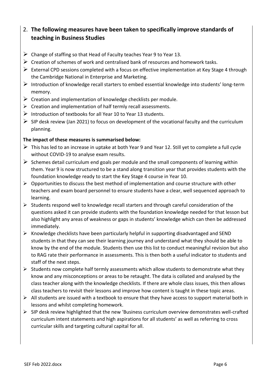# 2. **The following measures have been taken to specifically improve standards of teaching in Business Studies**

- $\triangleright$  Change of staffing so that Head of Faculty teaches Year 9 to Year 13.
- $\triangleright$  Creation of schemes of work and centralised bank of resources and homework tasks.
- $\triangleright$  External CPD sessions completed with a focus on effective implementation at Key Stage 4 through the Cambridge National in Enterprise and Marketing.
- ➢ Introduction of knowledge recall starters to embed essential knowledge into students' long-term memory.
- $\triangleright$  Creation and implementation of knowledge checklists per module.
- $\triangleright$  Creation and implementation of half termly recall assessments.
- $\triangleright$  Introduction of textbooks for all Year 10 to Year 13 students.
- $\triangleright$  SIP desk review (Jan 2021) to focus on development of the vocational faculty and the curriculum planning.

#### **The impact of these measures is summarised below:**

- $\triangleright$  This has led to an increase in uptake at both Year 9 and Year 12. Still yet to complete a full cycle without COVID-19 to analyse exam results.
- $\triangleright$  Schemes detail curriculum end goals per module and the small components of learning within them. Year 9 is now structured to be a stand along transition year that provides students with the foundation knowledge ready to start the Key Stage 4 course in Year 10.
- $\triangleright$  Opportunities to discuss the best method of implementation and course structure with other teachers and exam board personnel to ensure students have a clear, well sequenced approach to learning.
- $\triangleright$  Students respond well to knowledge recall starters and through careful consideration of the questions asked it can provide students with the foundation knowledge needed for that lesson but also highlight any areas of weakness or gaps in students' knowledge which can then be addressed immediately.
- ➢ Knowledge checklists have been particularly helpful in supporting disadvantaged and SEND students in that they can see their learning journey and understand what they should be able to know by the end of the module. Students then use this list to conduct meaningful revision but also to RAG rate their performance in assessments. This is then both a useful indicator to students and staff of the next steps.
- $\triangleright$  Students now complete half termly assessments which allow students to demonstrate what they know and any misconceptions or areas to be retaught. The data is collated and analysed by the class teacher along with the knowledge checklists. If there are whole class issues, this then allows class teachers to revisit their lessons and improve how content is taught in these topic areas.
- $\triangleright$  All students are issued with a textbook to ensure that they have access to support material both in lessons and whilst completing homework.
- $\triangleright$  SIP desk review highlighted that the new 'Business curriculum overview demonstrates well-crafted curriculum intent statements and high aspirations for all students' as well as referring to cross curricular skills and targeting cultural capital for all.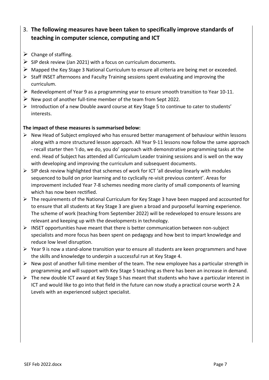# 3. **The following measures have been taken to specifically improve standards of teaching in computer science, computing and ICT**

- $\triangleright$  Change of staffing.
- $\triangleright$  SIP desk review (Jan 2021) with a focus on curriculum documents.
- $\triangleright$  Mapped the Key Stage 3 National Curriculum to ensure all criteria are being met or exceeded.
- $\triangleright$  Staff INSET afternoons and Faculty Training sessions spent evaluating and improving the curriculum.
- ➢ Redevelopment of Year 9 as a programming year to ensure smooth transition to Year 10-11.
- $\triangleright$  New post of another full-time member of the team from Sept 2022.
- $\triangleright$  Introduction of a new Double award course at Key Stage 5 to continue to cater to students' interests.

## **The impact of these measures is summarised below:**

- $\triangleright$  New Head of Subject employed who has ensured better management of behaviour within lessons along with a more structured lesson approach. All Year 9-11 lessons now follow the same approach - recall starter then 'I do, we do, you do' approach with demonstrative programming tasks at the end. Head of Subject has attended all Curriculum Leader training sessions and is well on the way with developing and improving the curriculum and subsequent documents.
- ➢ SIP desk review highlighted that schemes of work for ICT 'all develop linearly with modules sequenced to build on prior learning and to cyclically re-visit previous content'. Areas for improvement included Year 7-8 schemes needing more clarity of small components of learning which has now been rectified.
- $\triangleright$  The requirements of the National Curriculum for Key Stage 3 have been mapped and accounted for to ensure that all students at Key Stage 3 are given a broad and purposeful learning experience. The scheme of work (teaching from September 2022) will be redeveloped to ensure lessons are relevant and keeping up with the developments in technology.
- $\triangleright$  INSET opportunities have meant that there is better communication between non-subject specialists and more focus has been spent on pedagogy and how best to impart knowledge and reduce low level disruption.
- $\triangleright$  Year 9 is now a stand-alone transition year to ensure all students are keen programmers and have the skills and knowledge to underpin a successful run at Key Stage 4.
- $\triangleright$  New post of another full-time member of the team. The new employee has a particular strength in programming and will support with Key Stage 5 teaching as there has been an increase in demand.
- $\triangleright$  The new double ICT award at Key Stage 5 has meant that students who have a particular interest in ICT and would like to go into that field in the future can now study a practical course worth 2 A Levels with an experienced subject specialist.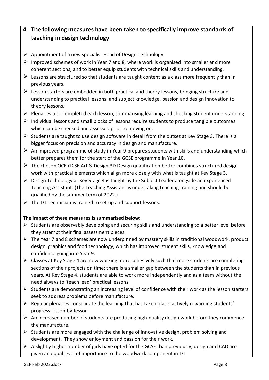# **4. The following measures have been taken to specifically improve standards of teaching in design technology**

- $\triangleright$  Appointment of a new specialist Head of Design Technology.
- $\triangleright$  Improved schemes of work in Year 7 and 8, where work is organised into smaller and more coherent sections, and to better equip students with technical skills and understanding.
- $\triangleright$  Lessons are structured so that students are taught content as a class more frequently than in previous years.
- $\triangleright$  Lesson starters are embedded in both practical and theory lessons, bringing structure and understanding to practical lessons, and subject knowledge, passion and design innovation to theory lessons.
- ➢ Plenaries also completed each lesson, summarising learning and checking student understanding.
- $\triangleright$  Individual lessons and small blocks of lessons require students to produce tangible outcomes which can be checked and assessed prior to moving on.
- $\triangleright$  Students are taught to use design software in detail from the outset at Key Stage 3. There is a bigger focus on precision and accuracy in design and manufacture.
- $\triangleright$  An improved programme of study in Year 9 prepares students with skills and understanding which better prepares them for the start of the GCSE programme in Year 10.
- $\triangleright$  The chosen OCR GCSE Art & Design 3D Design qualification better combines structured design work with practical elements which align more closely with what is taught at Key Stage 3.
- $\triangleright$  Design Technology at Key Stage 4 is taught by the Subject Leader alongside an experienced Teaching Assistant. (The Teaching Assistant is undertaking teaching training and should be qualified by the summer term of 2022.)
- $\triangleright$  The DT Technician is trained to set up and support lessons.

#### **The impact of these measures is summarised below:**

- $\triangleright$  Students are observably developing and securing skills and understanding to a better level before they attempt their final assessment pieces.
- ➢ The Year 7 and 8 schemes are now underpinned by mastery skills in traditional woodwork, product design, graphics and food technology, which has improved student skills, knowledge and confidence going into Year 9.
- $\triangleright$  Classes at Key Stage 4 are now working more cohesively such that more students are completing sections of their projects on time; there is a smaller gap between the students than in previous years. At Key Stage 4, students are able to work more independently and as a team without the need always to 'teach lead' practical lessons.
- ➢ Students are demonstrating an increasing level of confidence with their work as the lesson starters seek to address problems before manufacture.
- ➢ Regular plenaries consolidate the learning that has taken place, actively rewarding students' progress lesson-by-lesson.
- $\triangleright$  An increased number of students are producing high-quality design work before they commence the manufacture.
- $\triangleright$  Students are more engaged with the challenge of innovative design, problem solving and development. They show enjoyment and passion for their work.
- $\triangleright$  A slightly higher number of girls have opted for the GCSE than previously; design and CAD are given an equal level of importance to the woodwork component in DT.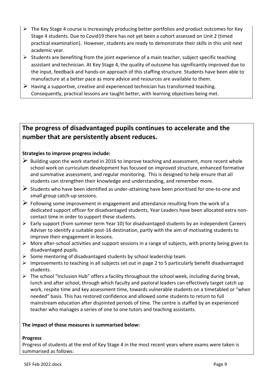- $\triangleright$  The Key Stage 4 course is increasingly producing better portfolios and product outcomes for Key Stage 4 students. Due to Covid19 there has not yet been a cohort assessed on Unit 2 (timed practical examination). However, students are ready to demonstrate their skills in this unit next academic year.
- $\triangleright$  Students are benefiting from the joint experience of a main teacher, subject specific teaching assistant and technician. At Key Stage 4, the quality of outcome has significantly improved due to the input, feedback and hands-on approach of this staffing structure. Students have been able to manufacture at a better pace as more advice and resources are available to them.
- $\triangleright$  Having a supportive, creative and experienced technician has transformed teaching. Consequently, practical lessons are taught better, with learning objectives being met.

# **The progress of disadvantaged pupils continues to accelerate and the number that are persistently absent reduces.**

## **Strategies to improve progress include:**

- $\triangleright$  Building upon the work started in 2016 to improve teaching and assessment, more recent whole school work on curriculum development has focused on improved structure, enhanced formative and summative assessment, and regular monitoring. This is designed to help ensure that all students can strengthen their knowledge and understanding, and remember more.
- $\triangleright$  Students who have been identified as under-attaining have been prioritised for one-to-one and small group catch-up sessions.
- $\triangleright$  Following some improvement in engagement and attendance resulting from the work of a dedicated support officer for disadvantaged students, Year Leaders have been allocated extra noncontact time in order to support these students.
- ➢ Early support (from summer term Year 10) for disadvantaged students by an independent Careers Adviser to identify a suitable post-16 destination, partly with the aim of motivating students to improve their engagement in lessons.
- $\triangleright$  More after-school activities and support sessions in a range of subjects, with priority being given to disadvantaged pupils.
- $\triangleright$  Some mentoring of disadvantaged students by school leadership team.
- $\triangleright$  Improvements to teaching in all subjects set out in page 2 to 5 particularly benefit disadvantaged students.
- $\triangleright$  The school "Inclusion Hub" offers a facility throughout the school week, including during break, lunch and after school, through which faculty and pastoral leaders can effectively target catch up work, respite time and key assessment time, towards vulnerable students on a timetabled or "when needed" basis. This has restored confidence and allowed some students to return to full mainstream education after disjointed periods of time. The centre is staffed by an experienced teacher who manages a series of one to one tutors and teaching assistants.

#### **The impact of these measures is summarised below:**

#### **Progress**

Progress of students at the end of Key Stage 4 in the most recent years where exams were taken is summarised as follows: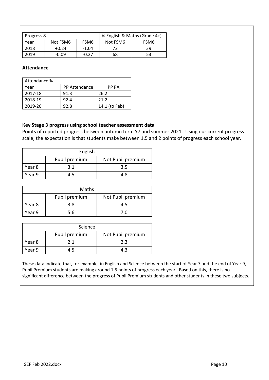| Progress 8 |          | % English & Maths (Grade 4+) |          |      |
|------------|----------|------------------------------|----------|------|
| Year       | Not FSM6 | FSM <sub>6</sub>             | Not FSM6 | FSM6 |
| 2018       | $+0.24$  | -1.04                        | 72       | 39   |
| 2019       | $-0.09$  | -0 27                        | 68       | 53   |

#### **Attendance**

| Attendance % |                      |               |
|--------------|----------------------|---------------|
| Year         | <b>PP Attendance</b> | PP PA         |
| 2017-18      | 91.3                 | 26.2          |
| 2018-19      | 92.4                 | 21.2          |
| 2019-20      | 92.8                 | 14.1 (to Feb) |

#### **Key Stage 3 progress using school teacher assessment data**

Points of reported progress between autumn term Y7 and summer 2021. Using our current progress scale, the expectation is that students make between 1.5 and 2 points of progress each school year.

| English |               |                   |
|---------|---------------|-------------------|
|         | Pupil premium | Not Pupil premium |
| Year 8  | 3.1           | 3.5               |
| Year 9  | 4.5           | 4.8               |

| Maths  |               |                   |
|--------|---------------|-------------------|
|        | Pupil premium | Not Pupil premium |
| Year 8 | 3.8           | 4.5               |
| Year 9 | 5.6           | 7 በ               |

| Science |               |                   |
|---------|---------------|-------------------|
|         | Pupil premium | Not Pupil premium |
| Year 8  | 21            | 2.3               |
| Year 9  |               | 43                |

These data indicate that, for example, in English and Science between the start of Year 7 and the end of Year 9, Pupil Premium students are making around 1.5 points of progress each year. Based on this, there is no significant difference between the progress of Pupil Premium students and other students in these two subjects.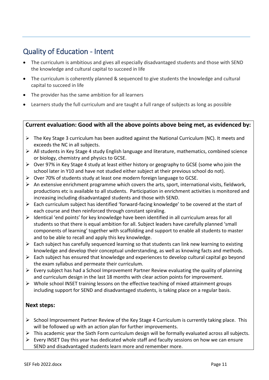# <span id="page-11-0"></span>Quality of Education - Intent

- The curriculum is ambitious and gives all especially disadvantaged students and those with SEND the knowledge and cultural capital to succeed in life
- The curriculum is coherently planned & sequenced to give students the knowledge and cultural capital to succeed in life
- The provider has the same ambition for all learners
- Learners study the full curriculum and are taught a full range of subjects as long as possible

## **Current evaluation: Good with all the above points above being met, as evidenced by:**

- ➢ The Key Stage 3 curriculum has been audited against the National Curriculum (NC). It meets and exceeds the NC in all subjects.
- $\triangleright$  All students in Key Stage 4 study English language and literature, mathematics, combined science or biology, chemistry and physics to GCSE.
- $\triangleright$  Over 97% in Key Stage 4 study at least either history or geography to GCSE (some who join the school later in Y10 and have not studied either subject at their previous school do not).
- $\triangleright$  Over 70% of students study at least one modern foreign language to GCSE.
- $\triangleright$  An extensive enrichment programme which covers the arts, sport, international visits, fieldwork, productions etc is available to all students. Participation in enrichment activities is monitored and increasing including disadvantaged students and those with SEND.
- ➢ Each curriculum subject has identified 'forward-facing knowledge' to be covered at the start of each course and then reinforced through constant spiraling.
- ➢ Identical 'end points' for key knowledge have been identified in all curriculum areas for all students so that there is equal ambition for all. Subject leaders have carefully planned 'small components of learning' together with scaffolding and support to enable all students to master and to be able to recall and apply this key knowledge.
- $\triangleright$  Each subject has carefully sequenced learning so that students can link new learning to existing knowledge and develop their conceptual understanding, as well as knowing facts and methods.
- $\triangleright$  Each subject has ensured that knowledge and experiences to develop cultural capital go beyond the exam syllabus and permeate their curriculum.
- ➢ Every subject has had a School Improvement Partner Review evaluating the quality of planning and curriculum design in the last 18 months with clear action points for improvement.
- $\triangleright$  Whole school INSET training lessons on the effective teaching of mixed attainment groups including support for SEND and disadvantaged students, is taking place on a regular basis.

## **Next steps:**

- $\triangleright$  School Improvement Partner Review of the Key Stage 4 Curriculum is currently taking place. This will be followed up with an action plan for further improvements.
- ➢ This academic year the Sixth Form curriculum design will be formally evaluated across all subjects.
- ➢ Every INSET Day this year has dedicated whole staff and faculty sessions on how we can ensure SEND and disadvantaged students learn more and remember more.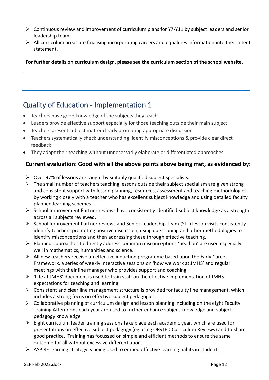- ➢ Continuous review and improvement of curriculum plans for Y7-Y11 by subject leaders and senior leadership team.
- $\triangleright$  All curriculum areas are finalising incorporating careers and equalities information into their intent statement.

**For further details on curriculum design, please see the curriculum section of the school website.**

# <span id="page-12-0"></span>Quality of Education - Implementation 1

- Teachers have good knowledge of the subjects they teach
- Leaders provide effective support especially for those teaching outside their main subject
- Teachers present subject matter clearly promoting appropriate discussion
- Teachers systematically check understanding, identify misconceptions & provide clear direct feedback
- They adapt their teaching without unnecessarily elaborate or differentiated approaches

# **Current evaluation: Good with all the above points above being met, as evidenced by:**

- $\triangleright$  Over 97% of lessons are taught by suitably qualified subject specialists.
- $\triangleright$  The small number of teachers teaching lessons outside their subject specialism are given strong and consistent support with lesson planning, resources, assessment and teaching methodologies by working closely with a teacher who has excellent subject knowledge and using detailed faculty planned learning schemes.
- ➢ School Improvement Partner reviews have consistently identified subject knowledge as a strength across all subjects reviewed.
- ➢ School Improvement Partner reviews and Senior Leadership Team (SLT) lesson visits consistently identify teachers promoting positive discussion, using questioning and other methodologies to identify misconceptions and then addressing these through effective teaching.
- $\triangleright$  Planned approaches to directly address common misconceptions 'head on' are used especially well in mathematics, humanities and science.
- ➢ All new teachers receive an effective induction programme based upon the Early Career Framework, a series of weekly interactive sessions on 'how we work at JMHS' and regular meetings with their line manager who provides support and coaching.
- ➢ 'Life at JMHS' document is used to train staff on the effective implementation of JMHS expectations for teaching and learning.
- $\triangleright$  Consistent and clear line management structure is provided for faculty line management, which includes a strong focus on effective subject pedagogies.
- ➢ Collaborative planning of curriculum design and lesson planning including on the eight Faculty Training Afternoons each year are used to further enhance subject knowledge and subject pedagogy knowledge.
- $\triangleright$  Eight curriculum leader training sessions take place each academic year, which are used for presentations on effective subject pedagogy (eg using OFSTED Curriculum Reviews) and to share good practice. Training has focussed on simple and efficient methods to ensure the same outcome for all without excessive differentiation.
- ➢ ASPIRE learning strategy is being used to embed effective learning habits in students.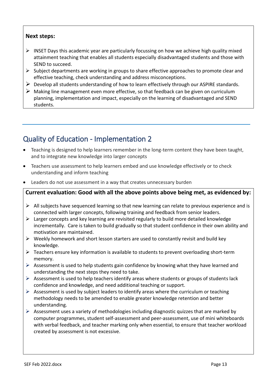- $\triangleright$  INSET Days this academic year are particularly focussing on how we achieve high quality mixed attainment teaching that enables all students especially disadvantaged students and those with SEND to succeed.
- $\triangleright$  Subject departments are working in groups to share effective approaches to promote clear and effective teaching, check understanding and address misconceptions.
- $\triangleright$  Develop all students understanding of how to learn effectively through our ASPIRE standards.
- $\triangleright$  Making line management even more effective, so that feedback can be given on curriculum planning, implementation and impact, especially on the learning of disadvantaged and SEND students.

# <span id="page-13-0"></span>Quality of Education - Implementation 2

- Teaching is designed to help learners remember in the long-term content they have been taught, and to integrate new knowledge into larger concepts
- Teachers use assessment to help learners embed and use knowledge effectively or to check understanding and inform teaching
- Leaders do not use assessment in a way that creates unnecessary burden

## **Current evaluation: Good with all the above points above being met, as evidenced by:**

- $\triangleright$  All subjects have sequenced learning so that new learning can relate to previous experience and is connected with larger concepts, following training and feedback from senior leaders.
- ➢ Larger concepts and key learning are revisited regularly to build more detailed knowledge incrementally. Care is taken to build gradually so that student confidence in their own ability and motivation are maintained.
- $\triangleright$  Weekly homework and short lesson starters are used to constantly revisit and build key knowledge.
- ➢ Teachers ensure key information is available to students to prevent overloading short-term memory.
- $\triangleright$  Assessment is used to help students gain confidence by knowing what they have learned and understanding the next steps they need to take.
- $\triangleright$  Assessment is used to help teachers identify areas where students or groups of students lack confidence and knowledge, and need additional teaching or support.
- $\triangleright$  Assessment is used by subject leaders to identify areas where the curriculum or teaching methodology needs to be amended to enable greater knowledge retention and better understanding.
- $\triangleright$  Assessment uses a variety of methodologies including diagnostic quizzes that are marked by computer programmes, student self-assessment and peer-assessment, use of mini whiteboards with verbal feedback, and teacher marking only when essential, to ensure that teacher workload created by assessment is not excessive.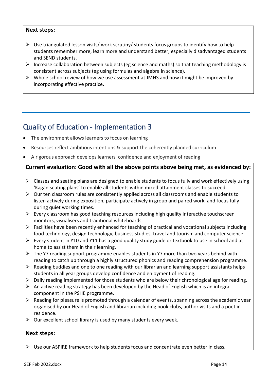- $\triangleright$  Use triangulated lesson visits/ work scrutiny/ students focus groups to identify how to help students remember more, learn more and understand better, especially disadvantaged students and SEND students.
- $\triangleright$  Increase collaboration between subjects (eg science and maths) so that teaching methodology is consistent across subjects (eg using formulas and algebra in science).
- ➢ Whole school review of how we use assessment at JMHS and how it might be improved by incorporating effective practice.

# <span id="page-14-0"></span>Quality of Education - Implementation 3

- The environment allows learners to focus on learning
- Resources reflect ambitious intentions & support the coherently planned curriculum
- A rigorous approach develops learners' confidence and enjoyment of reading

# **Current evaluation: Good with all the above points above being met, as evidenced by:**

- $\triangleright$  Classes and seating plans are designed to enable students to focus fully and work effectively using 'Kagan seating plans' to enable all students within mixed attainment classes to succeed.
- $\triangleright$  Our ten classroom rules are consistently applied across all classrooms and enable students to listen actively during exposition, participate actively in group and paired work, and focus fully during quiet working times.
- $\triangleright$  Every classroom has good teaching resources including high quality interactive touchscreen monitors, visualisers and traditional whiteboards.
- $\triangleright$  Facilities have been recently enhanced for teaching of practical and vocational subjects including food technology, design technology, business studies, travel and tourism and computer science
- $\triangleright$  Every student in Y10 and Y11 has a good quality study guide or textbook to use in school and at home to assist them in their learning.
- $\triangleright$  The Y7 reading support programme enables students in Y7 more than two years behind with reading to catch up through a highly structured phonics and reading comprehension programme.
- $\triangleright$  Reading buddies and one to one reading with our librarian and learning support assistants helps students in all year groups develop confidence and enjoyment of reading.
- $\triangleright$  Daily reading implemented for those students who are below their chronological age for reading.
- $\triangleright$  An active reading strategy has been developed by the Head of English which is an integral component in the PSHE programme.
- ➢ Reading for pleasure is promoted through a calendar of events, spanning across the academic year organised by our Head of English and librarian including book clubs, author visits and a poet in residence.
- $\triangleright$  Our excellent school library is used by many students every week.

#### **Next steps:**

 $\triangleright$  Use our ASPIRE framework to help students focus and concentrate even better in class.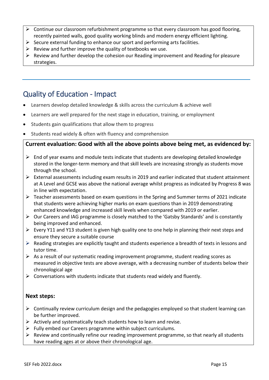- ➢ Continue our classroom refurbishment programme so that every classroom has good flooring, recently painted walls, good quality working blinds and modern energy efficient lighting.
- $\triangleright$  Secure external funding to enhance our sport and performing arts facilities.
- $\triangleright$  Review and further improve the quality of textbooks we use.
- $\triangleright$  Review and further develop the cohesion our Reading improvement and Reading for pleasure strategies.

# <span id="page-15-0"></span>Quality of Education - Impact

- Learners develop detailed knowledge & skills across the curriculum & achieve well
- Learners are well prepared for the next stage in education, training, or employment
- Students gain qualifications that allow them to progress
- Students read widely & often with fluency and comprehension

## **Current evaluation: Good with all the above points above being met, as evidenced by:**

- $\triangleright$  End of year exams and module tests indicate that students are developing detailed knowledge stored in the longer-term memory and that skill levels are increasing strongly as students move through the school.
- ➢ External assessments including exam results in 2019 and earlier indicated that student attainment at A Level and GCSE was above the national average whilst progress as indicated by Progress 8 was in line with expectation.
- ➢ Teacher assessments based on exam questions in the Spring and Summer terms of 2021 indicate that students were achieving higher marks on exam questions than in 2019 demonstrating enhanced knowledge and increased skill levels when compared with 2019 or earlier.
- ➢ Our Careers and IAG programme is closely matched to the 'Gatsby Standards' and is constantly being improved and enhanced.
- $\triangleright$  Every Y11 and Y13 student is given high quality one to one help in planning their next steps and ensure they secure a suitable course
- $\triangleright$  Reading strategies are explicitly taught and students experience a breadth of texts in lessons and tutor time.
- ➢ As a result of our systematic reading improvement programme, student reading scores as measured in objective tests are above average, with a decreasing number of students below their chronological age
- $\triangleright$  Conversations with students indicate that students read widely and fluently.

#### **Next steps:**

- $\triangleright$  Continually review curriculum design and the pedagogies employed so that student learning can be further improved.
- $\triangleright$  Actively and systematically teach students how to learn and revise.
- $\triangleright$  Fully embed our Careers programme within subject curriculums.
- ➢ Review and continually refine our reading improvement programme, so that nearly all students have reading ages at or above their chronological age.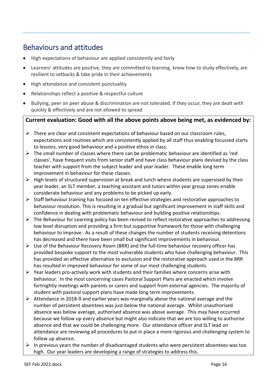# <span id="page-16-0"></span>Behaviours and attitudes

- High expectations of behaviour are applied consistently and fairly
- Learners' attitudes are positive, they are committed to learning, know how to study effectively, are resilient to setbacks & take pride in their achievements
- High attendance and consistent punctuality
- Relationships reflect a positive & respectful culture
- Bullying, peer on peer abuse & discrimination are not tolerated. If they occur, they are dealt with quickly & effectively and are not allowed to spread

# **Current evaluation: Good with all the above points above being met, as evidenced by:**

- $\triangleright$  There are clear and consistent expectations of behaviour based on our classroom rules, expectations and routines which are consistently applied by all staff thus enabling focussed starts to lessons, very good behaviour and a positive ethos in class.
- $\triangleright$  The small number of classes where there can be problematic behaviour are identified as 'red classes', have frequent visits from senior staff and have class behaviour plans devised by the class teacher with support from the subject leader and year leader. These enable long term improvement in behaviour for these classes.
- $\triangleright$  High levels of structured supervision at break and lunch where students are supervised by their year leader, an SLT member, a teaching assistant and tutors within year group zones enable considerate behaviour and any problems to be picked up early.
- ➢ Staff behaviour training has focused on ten effective strategies and restorative approaches to behaviour resolution. This is resulting in a gradual but significant improvement in staff skills and confidence in dealing with problematic behaviour and building positive relationships.
- ➢ The Behaviour for Learning policy has been revised to reflect restorative approaches to addressing low level disruption and providing a firm but supportive framework for those with challenging behaviour to improve. As a result of these changes the number of students receiving detentions has decreased and there have been small but significant improvements in behaviour.
- $\triangleright$  Use of the Behaviour Recovery Room (BRR) and the full-time behaviour recovery officer has provided bespoke support to the most vulnerable students who have challenging behaviour. This has provided an effective alternative to exclusion and the restorative approach used in the BRR has resulted in improved behaviour for some of our most challenging students.
- $\triangleright$  Year leaders pro-actively work with students and their families where concerns arise with behaviour. In the most concerning cases Pastoral Support Plans are enacted which involve fortnightly meetings with parents or carers and support from external agencies. The majority of student with pastoral support plans have made long term improvements.
- ➢ Attendance in 2018-9 and earlier years was marginally above the national average and the number of persistent absentees was just below the national average. Whilst unauthorised absence was below average, authorised absence was above average. This may have occurred because we follow up every absence but might also indicate that we are too willing to authorise absence and that we could be challenging more. Our attendance officer and SLT lead on attendance are reviewing all procedures to put in place a more rigorous and challenging system to follow up absence.
- $\triangleright$  In previous years the number of disadvantaged students who were persistent absentees was too high. Our year leaders are developing a range of strategies to address this.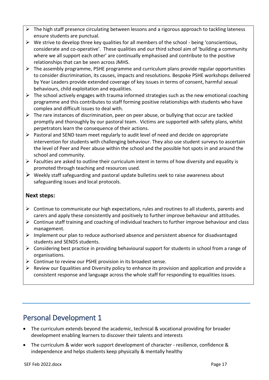- ➢ The high staff presence circulating between lessons and a rigorous approach to tackling lateness ensure students are punctual.
- ➢ We strive to develop three key qualities for all members of the school being 'conscientious, considerate and co-operative'. These qualities and our third school aim of 'building a community where we all support each other' are continually emphasised and contribute to the positive relationships that can be seen across JMHS.
- $\triangleright$  The assembly programme, PSHE programme and curriculum plans provide regular opportunities to consider discrimination, its causes, impacts and resolutions. Bespoke PSHE workshops delivered by Year Leaders provide extended coverage of key issues in terms of consent, harmful sexual behaviours, child exploitation and equalities.
- $\triangleright$  The school actively engages with trauma informed strategies such as the new emotional coaching programme and this contributes to staff forming positive relationships with students who have complex and difficult issues to deal with.
- $\triangleright$  The rare instances of discrimination, peer on peer abuse, or bullying that occur are tackled promptly and thoroughly by our pastoral team. Victims are supported with safety plans, whilst perpetrators learn the consequence of their actions.
- ➢ Pastoral and SEND team meet regularly to audit level of need and decide on appropriate intervention for students with challenging behaviour. They also use student surveys to ascertain the level of Peer and Peer abuse within the school and the possible hot spots in and around the school and community.
- $\triangleright$  Faculties are asked to outline their curriculum intent in terms of how diversity and equality is promoted through teaching and resources used.
- $\triangleright$  Weekly staff safeguarding and pastoral update bulletins seek to raise awareness about safeguarding issues and local protocols.

- $\triangleright$  Continue to communicate our high expectations, rules and routines to all students, parents and carers and apply these consistently and positively to further improve behaviour and attitudes.
- ➢ Continue staff training and coaching of individual teachers to further improve behaviour and class management.
- ➢ Implement our plan to reduce authorised absence and persistent absence for disadvantaged students and SENDS students.
- $\triangleright$  Considering best practice in providing behavioural support for students in school from a range of organisations.
- ➢ Continue to review our PSHE provision in its broadest sense.
- $\triangleright$  Review our Equalities and Diversity policy to enhance its provision and application and provide a consistent response and language across the whole staff for responding to equalities issues.

# <span id="page-17-0"></span>Personal Development 1

- The curriculum extends beyond the academic, technical & vocational providing for broader development enabling learners to discover their talents and interests
- The curriculum & wider work support development of character resilience, confidence & independence and helps students keep physically & mentally healthy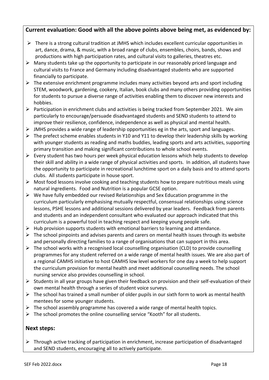# **Current evaluation: Good with all the above points above being met, as evidenced by:**

- ➢ There is a strong cultural tradition at JMHS which includes excellent curricular opportunities in art, dance, drama, & music, with a broad range of clubs, ensembles, choirs, bands, shows and productions with high participation rates, and cultural visits to galleries, theatres etc.
- $\triangleright$  Many students take up the opportunity to participate in our reasonably priced language and cultural visits to France and Germany including disadvantaged students who are supported financially to participate.
- $\triangleright$  The extensive enrichment programme includes many activities beyond arts and sport including STEM, woodwork, gardening, cookery, Italian, book clubs and many others providing opportunities for students to pursue a diverse range of activities enabling them to discover new interests and hobbies.
- ➢ Participation in enrichment clubs and activities is being tracked from September 2021. We aim particularly to encourage/persuade disadvantaged students and SEND students to attend to improve their resilience, confidence, independence as well as physical and mental health.
- $\triangleright$  JMHS provides a wide range of leadership opportunities eg in the arts, sport and languages.
- ➢ The prefect scheme enables students in Y10 and Y11 to develop their leadership skills by working with younger students as reading and maths buddies, leading sports and arts activities, supporting primary transition and making significant contributions to whole school events.
- $\triangleright$  Every student has two hours per week physical education lessons which help students to develop their skill and ability in a wide range of physical activities and sports. In addition, all students have the opportunity to participate in recreational lunchtime sport on a daily basis and to attend sports clubs. All students participate in house sport.
- ➢ Most food lessons involve cooking and teaching students how to prepare nutritious meals using natural ingredients. Food and Nutrition is a popular GCSE option.
- $\triangleright$  We have fully embedded our revised Relationships and Sex Education programme in the curriculum particularly emphasising mutually respectful, consensual relationships using science lessons, PSHE lessons and additional sessions delivered by year leaders. Feedback from parents and students and an independent consultant who evaluated our approach indicated that this curriculum is a powerful tool in teaching respect and keeping young people safe.
- $\triangleright$  Hub provision supports students with emotional barriers to learning and attendance.
- $\triangleright$  The school pinpoints and advises parents and carers on mental health issues through its website and personally directing families to a range of organisations that can support in this area.
- $\triangleright$  The school works with a recognised local counselling organisation (CLD) to provide counselling programmes for any student referred on a wide range of mental health issues. We are also part of a regional CAMHS initiative to host CAMHS low level workers for one day a week to help support the curriculum provision for mental health and meet additional counselling needs. The school nursing service also provides counselling in school.
- ➢ Students in all year groups have given their feedback on provision and their self-evaluation of their own mental health through a series of student voice surveys.
- $\triangleright$  The school has trained a small number of older pupils in our sixth form to work as mental health mentees for some younger students.
- $\triangleright$  The school assembly programme has covered a wide range of mental health topics.
- ➢ The school promotes the online counselling service "Kooth" for all students.

## **Next steps:**

 $\triangleright$  Through active tracking of participation in enrichment, increase participation of disadvantaged and SEND students, encouraging all to actively participate.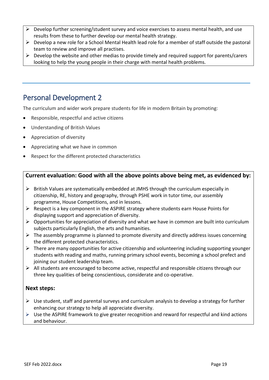- $\triangleright$  Develop further screening/student survey and voice exercises to assess mental health, and use results from these to further develop our mental health strategy.
- ➢ Develop a new role for a School Mental Health lead role for a member of staff outside the pastoral team to review and improve all practises.
- $\triangleright$  Develop the website and other medias to provide timely and required support for parents/carers looking to help the young people in their charge with mental health problems.

# <span id="page-19-0"></span>Personal Development 2

The curriculum and wider work prepare students for life in modern Britain by promoting:

- Responsible, respectful and active citizens
- Understanding of British Values
- Appreciation of diversity
- Appreciating what we have in common
- Respect for the different protected characteristics

# **Current evaluation: Good with all the above points above being met, as evidenced by:**

- $\triangleright$  British Values are systematically embedded at JMHS through the curriculum especially in citizenship, RE, history and geography, through PSHE work in tutor time, our assembly programme, House Competitions, and in lessons.
- $\triangleright$  Respect is a key component in the ASPIRE strategy where students earn House Points for displaying support and appreciation of diversity.
- $\triangleright$  Opportunities for appreciation of diversity and what we have in common are built into curriculum subjects particularly English, the arts and humanities.
- $\triangleright$  The assembly programme is planned to promote diversity and directly address issues concerning the different protected characteristics.
- $\triangleright$  There are many opportunities for active citizenship and volunteering including supporting younger students with reading and maths, running primary school events, becoming a school prefect and joining our student leadership team.
- $\triangleright$  All students are encouraged to become active, respectful and responsible citizens through our three key qualities of being conscientious, considerate and co-operative.

## **Next steps:**

- $\triangleright$  Use student, staff and parental surveys and curriculum analysis to develop a strategy for further enhancing our strategy to help all appreciate diversity.
- ➢ Use the ASPIRE framework to give greater recognition and reward for respectful and kind actions and behaviour.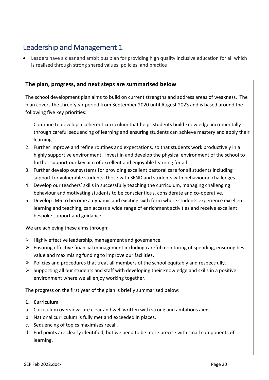# <span id="page-20-0"></span>Leadership and Management 1

• Leaders have a clear and ambitious plan for providing high quality inclusive education for all which is realised through strong shared values, policies, and practice

## **The plan, progress, and next steps are summarised below**

The school development plan aims to build on current strengths and address areas of weakness. The plan covers the three-year period from September 2020 until August 2023 and is based around the following five key priorities:

- 1. Continue to develop a coherent curriculum that helps students build knowledge incrementally through careful sequencing of learning and ensuring students can achieve mastery and apply their learning.
- 2. Further improve and refine routines and expectations, so that students work productively in a highly supportive environment. Invest in and develop the physical environment of the school to further support our key aim of excellent and enjoyable learning for all
- 3. Further develop our systems for providing excellent pastoral care for all students including support for vulnerable students, those with SEND and students with behavioural challenges.
- 4. Develop our teachers' skills in successfully teaching the curriculum, managing challenging behaviour and motivating students to be conscientious, considerate and co-operative.
- 5. Develop JM6 to become a dynamic and exciting sixth form where students experience excellent learning and teaching, can access a wide range of enrichment activities and receive excellent bespoke support and guidance.

We are achieving these aims through:

- $\triangleright$  Highly effective leadership, management and governance.
- ➢ Ensuring effective financial management including careful monitoring of spending, ensuring best value and maximising funding to improve our facilities.
- $\triangleright$  Policies and procedures that treat all members of the school equitably and respectfully.
- $\triangleright$  Supporting all our students and staff with developing their knowledge and skills in a positive environment where we all enjoy working together.

The progress on the first year of the plan is briefly summarised below:

#### **1. Curriculum**

- a. Curriculum overviews are clear and well written with strong and ambitious aims.
- b. National curriculum is fully met and exceeded in places.
- c. Sequencing of topics maximises recall.
- d. End points are clearly identified, but we need to be more precise with small components of learning.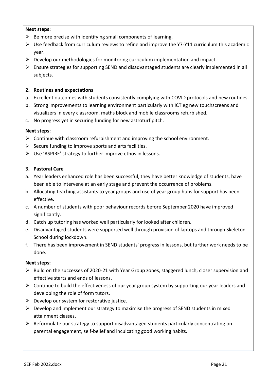- $\triangleright$  Be more precise with identifying small components of learning.
- $\triangleright$  Use feedback from curriculum reviews to refine and improve the Y7-Y11 curriculum this academic year.
- $\triangleright$  Develop our methodologies for monitoring curriculum implementation and impact.
- $\triangleright$  Ensure strategies for supporting SEND and disadvantaged students are clearly implemented in all subjects.

#### **2. Routines and expectations**

- a. Excellent outcomes with students consistently complying with COVID protocols and new routines.
- b. Strong improvements to learning environment particularly with ICT eg new touchscreens and visualizers in every classroom, maths block and mobile classrooms refurbished.
- c. No progress yet in securing funding for new astroturf pitch.

#### **Next steps:**

- $\triangleright$  Continue with classroom refurbishment and improving the school environment.
- $\triangleright$  Secure funding to improve sports and arts facilities.
- ➢ Use 'ASPIRE' strategy to further improve ethos in lessons.

#### **3. Pastoral Care**

- a. Year leaders enhanced role has been successful, they have better knowledge of students, have been able to intervene at an early stage and prevent the occurrence of problems.
- b. Allocating teaching assistants to year groups and use of year group hubs for support has been effective.
- c. A number of students with poor behaviour records before September 2020 have improved significantly.
- d. Catch up tutoring has worked well particularly for looked after children.
- e. Disadvantaged students were supported well through provision of laptops and through Skeleton School during lockdown.
- f. There has been improvement in SEND students' progress in lessons, but further work needs to be done.

#### **Next steps:**

- ➢ Build on the successes of 2020-21 with Year Group zones, staggered lunch, closer supervision and effective starts and ends of lessons.
- ➢ Continue to build the effectiveness of our year group system by supporting our year leaders and developing the role of form tutors.
- $\triangleright$  Develop our system for restorative justice.
- $\triangleright$  Develop and implement our strategy to maximise the progress of SEND students in mixed attainment classes.
- ➢ Reformulate our strategy to support disadvantaged students particularly concentrating on parental engagement, self-belief and inculcating good working habits.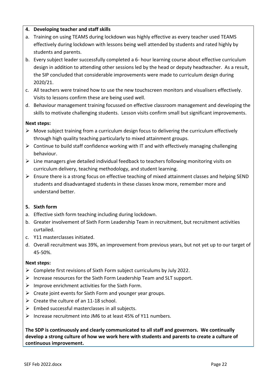#### **4. Developing teacher and staff skills**

- a. Training on using TEAMS during lockdown was highly effective as every teacher used TEAMS effectively during lockdown with lessons being well attended by students and rated highly by students and parents.
- b. Every subject leader successfully completed a 6- hour learning course about effective curriculum design in addition to attending other sessions led by the head or deputy headteacher. As a result, the SIP concluded that considerable improvements were made to curriculum design during 2020/21.
- c. All teachers were trained how to use the new touchscreen monitors and visualisers effectively. Visits to lessons confirm these are being used well.
- d. Behaviour management training focussed on effective classroom management and developing the skills to motivate challenging students. Lesson visits confirm small but significant improvements.

## **Next steps:**

- $\triangleright$  Move subject training from a curriculum design focus to delivering the curriculum effectively through high quality teaching particularly to mixed attainment groups.
- $\triangleright$  Continue to build staff confidence working with IT and with effectively managing challenging behaviour.
- ➢ Line managers give detailed individual feedback to teachers following monitoring visits on curriculum delivery, teaching methodology, and student learning.
- ➢ Ensure there is a strong focus on effective teaching of mixed attainment classes and helping SEND students and disadvantaged students in these classes know more, remember more and understand better.

#### **5. Sixth form**

- a. Effective sixth form teaching including during lockdown.
- b. Greater involvement of Sixth Form Leadership Team in recruitment, but recruitment activities curtailed.
- c. Y11 masterclasses initiated.
- d. Overall recruitment was 39%, an improvement from previous years, but not yet up to our target of 45-50%.

#### **Next steps:**

- ➢ Complete first revisions of Sixth Form subject curriculums by July 2022.
- $\triangleright$  Increase resources for the Sixth Form Leadership Team and SLT support.
- $\triangleright$  Improve enrichment activities for the Sixth Form.
- $\triangleright$  Create joint events for Sixth Form and younger year groups.
- $\triangleright$  Create the culture of an 11-18 school.
- $\triangleright$  Embed successful masterclasses in all subjects.
- ➢ Increase recruitment into JM6 to at least 45% of Y11 numbers.

**The SDP is continuously and clearly communicated to all staff and governors. We continually develop a strong culture of how we work here with students and parents to create a culture of continuous improvement.**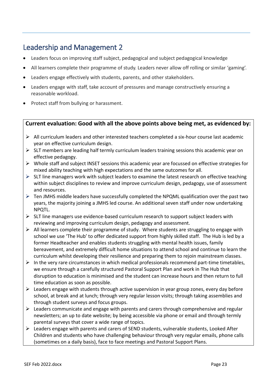# <span id="page-23-0"></span>Leadership and Management 2

- Leaders focus on improving staff subject, pedagogical and subject pedagogical knowledge
- All learners complete their programme of study. Leaders never allow off rolling or similar 'gaming'.
- Leaders engage effectively with students, parents, and other stakeholders.
- Leaders engage with staff, take account of pressures and manage constructively ensuring a reasonable workload.
- Protect staff from bullying or harassment.

## **Current evaluation: Good with all the above points above being met, as evidenced by:**

- ➢ All curriculum leaders and other interested teachers completed a six-hour course last academic year on effective curriculum design.
- $\triangleright$  SLT members are leading half termly curriculum leaders training sessions this academic year on effective pedagogy.
- $\triangleright$  Whole staff and subject INSET sessions this academic year are focussed on effective strategies for mixed ability teaching with high expectations and the same outcomes for all.
- $\triangleright$  SLT line managers work with subject leaders to examine the latest research on effective teaching within subject disciplines to review and improve curriculum design, pedagogy, use of assessment and resources.
- ➢ Ten JMHS middle leaders have successfully completed the NPQML qualification over the past two years, the majority joining a JMHS led course. An additional seven staff under now undertaking NPQTL.
- $\triangleright$  SLT line managers use evidence-based curriculum research to support subject leaders with reviewing and improving curriculum design, pedagogy and assessment.
- $\triangleright$  All learners complete their programme of study. Where students are struggling to engage with school we use 'The Hub' to offer dedicated support from highly skilled staff. The Hub is led by a former Headteacher and enables students struggling with mental health issues, family bereavement, and extremely difficult home situations to attend school and continue to learn the curriculum whilst developing their resilience and preparing them to rejoin mainstream classes.
- $\triangleright$  In the very rare circumstances in which medical professionals recommend part-time timetables, we ensure through a carefully structured Pastoral Support Plan and work in The Hub that disruption to education is minimised and the student can increase hours and then return to full time education as soon as possible.
- $\triangleright$  Leaders engage with students through active supervision in year group zones, every day before school, at break and at lunch; through very regular lesson visits; through taking assemblies and through student surveys and focus groups.
- ➢ Leaders communicate and engage with parents and carers through comprehensive and regular newsletters; an up to date website; by being accessible via phone or email and through termly parental surveys that cover a wide range of topics.
- $\triangleright$  Leaders engage with parents and carers of SEND students, vulnerable students, Looked After Children and students who have challenging behaviour through very regular emails, phone calls (sometimes on a daily basis), face to face meetings and Pastoral Support Plans.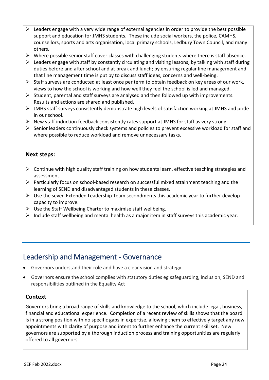- $\triangleright$  Leaders engage with a very wide range of external agencies in order to provide the best possible support and education for JMHS students. These include social workers, the police, CAMHS, counsellors, sports and arts organisation, local primary schools, Ledbury Town Council, and many others.
- $\triangleright$  Where possible senior staff cover classes with challenging students where there is staff absence.
- $\triangleright$  Leaders engage with staff by constantly circulating and visiting lessons; by talking with staff during duties before and after school and at break and lunch; by ensuring regular line management and that line management time is put by to discuss staff ideas, concerns and well-being.
- $\triangleright$  Staff surveys are conducted at least once per term to obtain feedback on key areas of our work, views to how the school is working and how well they feel the school is led and managed.
- ➢ Student, parental and staff surveys are analysed and then followed up with improvements. Results and actions are shared and published.
- ➢ JMHS staff surveys consistently demonstrate high levels of satisfaction working at JMHS and pride in our school.
- ➢ New staff induction feedback consistently rates support at JMHS for staff as very strong.
- ➢ Senior leaders continuously check systems and policies to prevent excessive workload for staff and where possible to reduce workload and remove unnecessary tasks.

- ➢ Continue with high quality staff training on how students learn, effective teaching strategies and assessment.
- $\triangleright$  Particularly focus on school-based research on successful mixed attainment teaching and the learning of SEND and disadvantaged students in these classes.
- $\triangleright$  Use the seven Extended Leadership Team secondments this academic year to further develop capacity to improve.
- $\triangleright$  Use the Staff Wellbeing Charter to maximise staff wellbeing.
- $\triangleright$  Include staff wellbeing and mental health as a major item in staff surveys this academic year.

# <span id="page-24-0"></span>Leadership and Management - Governance

- Governors understand their role and have a clear vision and strategy
- Governors ensure the school complies with statutory duties eg safeguarding, inclusion, SEND and responsibilities outlined in the Equality Act

#### **Context**

Governors bring a broad range of skills and knowledge to the school, which include legal, business, financial and educational experience. Completion of a recent review of skills shows that the board is in a strong position with no specific gaps in expertise, allowing them to effectively target any new appointments with clarity of purpose and intent to further enhance the current skill set. New governors are supported by a thorough induction process and training opportunities are regularly offered to all governors.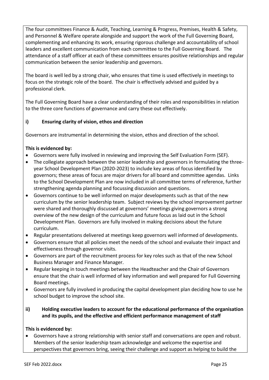The four committees Finance & Audit, Teaching, Learning & Progress, Premises, Health & Safety, and Personnel & Welfare operate alongside and support the work of the Full Governing Board, complementing and enhancing its work, ensuring rigorous challenge and accountability of school leaders and excellent communication from each committee to the Full Governing Board. The attendance of a staff officer at each of these committees ensures positive relationships and regular communication between the senior leadership and governors.

The board is well led by a strong chair, who ensures that time is used effectively in meetings to focus on the strategic role of the board. The chair is effectively advised and guided by a professional clerk.

The Full Governing Board have a clear understanding of their roles and responsibilities in relation to the three core functions of governance and carry these out effectively.

## **i) Ensuring clarity of vision, ethos and direction**

Governors are instrumental in determining the vision, ethos and direction of the school.

## **This is evidenced by:**

- Governors were fully involved in reviewing and improving the Self Evaluation Form (SEF).
- The collegiate approach between the senior leadership and governors in formulating the threeyear School Development Plan (2020-2023) to include key areas of focus identified by governors; these areas of focus are major drivers for all board and committee agendas. Links to the School Development Plan are now included in all committee terms of reference, further strengthening agenda planning and focussing discussion and questions.
- Governors continue to be well informed on major developments such as that of the new curriculum by the senior leadership team. Subject reviews by the school improvement partner were shared and thoroughly discussed at governors' meetings giving governors a strong overview of the new design of the curriculum and future focus as laid out in the School Development Plan. Governors are fully involved in making decisions about the future curriculum.
- Regular presentations delivered at meetings keep governors well informed of developments.
- Governors ensure that all policies meet the needs of the school and evaluate their impact and effectiveness through governor visits.
- Governors are part of the recruitment process for key roles such as that of the new School Business Manager and Finance Manager.
- Regular keeping in touch meetings between the Headteacher and the Chair of Governors ensure that the chair is well informed of key information and well prepared for Full Governing Board meetings.
- Governors are fully involved in producing the capital development plan deciding how to use he school budget to improve the school site.
- **ii) Holding executive leaders to account for the educational performance of the organisation and its pupils, and the effective and efficient performance management of staff**

#### **This is evidenced by:**

• Governors have a strong relationship with senior staff and conversations are open and robust. Members of the senior leadership team acknowledge and welcome the expertise and perspectives that governors bring, seeing their challenge and support as helping to build the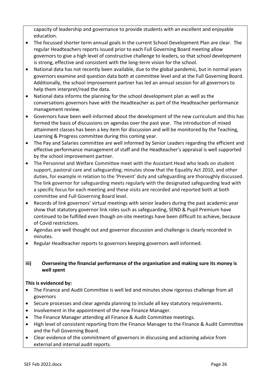capacity of leadership and governance to provide students with an excellent and enjoyable education.

- The focussed shorter term annual goals in the current School Development Plan are clear. The regular Headteachers reports issued prior to each Full Governing Board meeting allow governors to give a high level of constructive challenge to leaders, so that school development is strong, effective and consistent with the long-term vision for the school.
- National data has not recently been available, due to the global pandemic, but in normal years governors examine and question data both at committee level and at the Full Governing Board. Additionally, the school improvement partner has led an annual session for all governors to help them interpret/read the data.
- National data informs the planning for the school development plan as well as the conversations governors have with the Headteacher as part of the Headteacher performance management review.
- Governors have been well-informed about the development of the new curriculum and this has formed the basis of discussions on agendas over the past year. The introduction of mixed attainment classes has been a key item for discussion and will be monitored by the Teaching, Learning & Progress committee during this coming year.
- The Pay and Salaries committee are well informed by Senior Leaders regarding the efficient and effective performance management of staff and the Headteacher's appraisal is well supported by the school improvement partner.
- The Personnel and Welfare Committee meet with the Assistant Head who leads on student support, pastoral care and safeguarding; minutes show that the Equality Act 2010, and other duties, for example in relation to the 'Prevent' duty and safeguarding are thoroughly discussed. The link governor for safeguarding meets regularly with the designated safeguarding lead with a specific focus for each meeting and these visits are recorded and reported both at both committee and Full Governing Board level.
- Records of link governors' virtual meetings with senior leaders during the past academic year show that statutory governor link roles such as safeguarding, SEND & Pupil Premium have continued to be fulfilled even though on-site meetings have been difficult to achieve, because of Covid restrictions.
- Agendas are well thought out and governor discussion and challenge is clearly recorded in minutes.
- Regular Headteacher reports to governors keeping governors well informed.

## **iii) Overseeing the financial performance of the organisation and making sure its money is well spent**

#### **This is evidenced by:**

- The Finance and Audit Committee is well led and minutes show rigorous challenge from all governors
- Secure processes and clear agenda planning to include all key statutory requirements.
- Involvement in the appointment of the new Finance Manager.
- The Finance Manager attending all Finance & Audit Committee meetings.
- High level of consistent reporting from the Finance Manager to the Finance & Audit Committee and the Full Governing Board.
- Clear evidence of the commitment of governors in discussing and actioning advice from external and internal audit reports.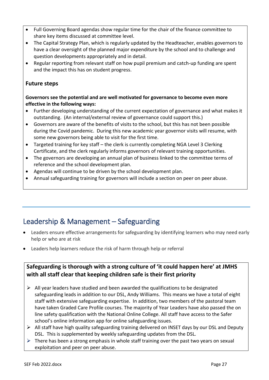- Full Governing Board agendas show regular time for the chair of the finance committee to share key items discussed at committee level.
- The Capital Strategy Plan, which is regularly updated by the Headteacher, enables governors to have a clear oversight of the planned major expenditure by the school and to challenge and question developments appropriately and in detail.
- Regular reporting from relevant staff on how pupil premium and catch-up funding are spent and the impact this has on student progress.

# **Future steps**

#### **Governors see the potential and are well motivated for governance to become even more effective in the following ways:**

- Further developing understanding of the current expectation of governance and what makes it outstanding. (An internal/external review of governance could support this.)
- Governors are aware of the benefits of visits to the school, but this has not been possible during the Covid pandemic. During this new academic year governor visits will resume, with some new governors being able to visit for the first time.
- Targeted training for key staff the clerk is currently completing NGA Level 3 Clerking Certificate, and the clerk regularly informs governors of relevant training opportunities.
- The governors are developing an annual plan of business linked to the committee terms of reference and the school development plan.
- Agendas will continue to be driven by the school development plan.
- Annual safeguarding training for governors will include a section on peer on peer abuse.

# <span id="page-27-0"></span>Leadership & Management – Safeguarding

- Leaders ensure effective arrangements for safeguarding by identifying learners who may need early help or who are at risk
- Leaders help learners reduce the risk of harm through help or referral

# **Safeguarding is thorough with a strong culture of 'it could happen here' at JMHS with all staff clear that keeping children safe is their first priority**

- $\triangleright$  All year leaders have studied and been awarded the qualifications to be designated safeguarding leads in addition to our DSL, Andy Williams. This means we have a total of eight staff with extensive safeguarding expertise. In addition, two members of the pastoral team have taken Graded Care Profile courses. The majority of Year Leaders have also passed the on line safety qualification with the National Online College. All staff have access to the Safer school's online information app for online safeguarding issues.
- $\triangleright$  All staff have high quality safeguarding training delivered on INSET days by our DSL and Deputy DSL. This is supplemented by weekly safeguarding updates from the DSL.
- $\triangleright$  There has been a strong emphasis in whole staff training over the past two years on sexual exploitation and peer on peer abuse.